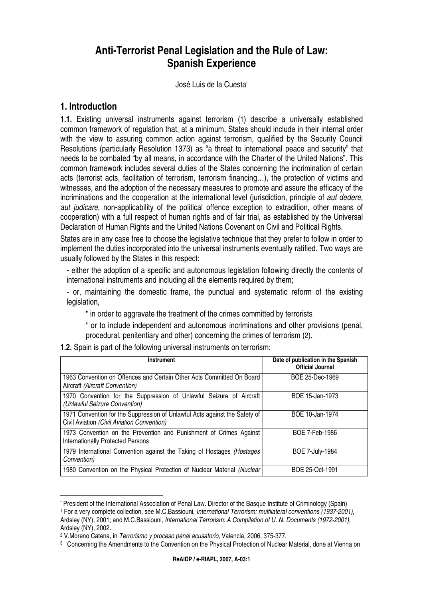# **Anti-Terrorist Penal Legislation and the Rule of Law: Spanish Experience**

José Luis de la Cuesta\*

#### **1. Introduction**

 $\overline{a}$ 

**1.1.** Existing universal instruments against terrorism (1) describe a universally established common framework of regulation that, at a minimum, States should include in their internal order with the view to assuring common action against terrorism, qualified by the Security Council Resolutions (particularly Resolution 1373) as "a threat to international peace and security" that needs to be combated "by all means, in accordance with the Charter of the United Nations". This common framework includes several duties of the States concerning the incrimination of certain acts (terrorist acts, facilitation of terrorism, terrorism financing…), the protection of victims and witnesses, and the adoption of the necessary measures to promote and assure the efficacy of the incriminations and the cooperation at the international level (jurisdiction, principle of *aut dedere,* aut judicare, non-applicability of the political offence exception to extradition, other means of cooperation) with a full respect of human rights and of fair trial, as established by the Universal Declaration of Human Rights and the United Nations Covenant on Civil and Political Rights.

States are in any case free to choose the legislative technique that they prefer to follow in order to implement the duties incorporated into the universal instruments eventually ratified. Two ways are usually followed by the States in this respect:

- either the adoption of a specific and autonomous legislation following directly the contents of international instruments and including all the elements required by them;

- or, maintaining the domestic frame, the punctual and systematic reform of the existing legislation,

\* in order to aggravate the treatment of the crimes committed by terrorists

\* or to include independent and autonomous incriminations and other provisions (penal, procedural, penitentiary and other) concerning the crimes of terrorism (2).

**1.2.** Spain is part of the following universal instruments on terrorism:

| <b>Instrument</b>                                                                                                        | Date of publication in the Spanish<br><b>Official Journal</b> |
|--------------------------------------------------------------------------------------------------------------------------|---------------------------------------------------------------|
| 1963 Convention on Offences and Certain Other Acts Committed On Board<br>Aircraft (Aircraft Convention)                  | BOE 25-Dec-1969                                               |
| 1970 Convention for the Suppression of Unlawful Seizure of Aircraft<br>(Unlawful Seizure Convention)                     | BOE 15-Jan-1973                                               |
| 1971 Convention for the Suppression of Unlawful Acts against the Safety of<br>Civil Aviation (Civil Aviation Convention) | BOE 10-Jan-1974                                               |
| 1973 Convention on the Prevention and Punishment of Crimes Against<br>Internationally Protected Persons                  | BOE 7-Feb-1986                                                |
| 1979 International Convention against the Taking of Hostages (Hostages<br>Convention)                                    | <b>BOE 7-July-1984</b>                                        |
| 1980 Convention on the Physical Protection of Nuclear Material (Nuclear                                                  | BOE 25-Oct-1991                                               |

<sup>\*</sup> President of the International Association of Penal Law. Director of the Basque Institute of Criminology (Spain)

<sup>&</sup>lt;sup>1</sup> For a very complete collection, see M.C.Bassiouni, International Terrorism: multilateral conventions (1937-2001),

Ardsley (NY), 2001; and M.C.Bassiouni, International Terrorism: A Compilation of U. N. Documents (1972-2001), Ardsley (NY), 2002**.**

<sup>2</sup> V.Moreno Catena, in Terrorismo y proceso penal acusatorio, Valencia, 2006, 375-377.

<sup>3</sup> Concerning the Amendments to the Convention on the Physical Protection of Nuclear Material, done at Vienna on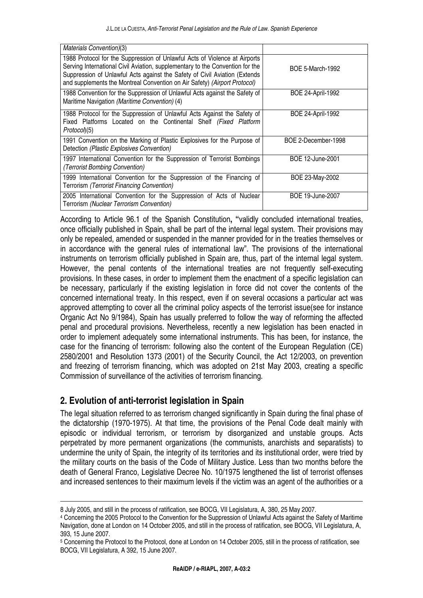| Materials Convention)(3)                                                                                                                                                                                                                                                                                               |                          |
|------------------------------------------------------------------------------------------------------------------------------------------------------------------------------------------------------------------------------------------------------------------------------------------------------------------------|--------------------------|
| 1988 Protocol for the Suppression of Unlawful Acts of Violence at Airports<br>Serving International Civil Aviation, supplementary to the Convention for the<br>Suppression of Unlawful Acts against the Safety of Civil Aviation (Extends<br>and supplements the Montreal Convention on Air Safety) (Airport Protocol) | <b>BOE 5-March-1992</b>  |
| 1988 Convention for the Suppression of Unlawful Acts against the Safety of<br>Maritime Navigation (Maritime Convention) (4)                                                                                                                                                                                            | <b>BOE 24-April-1992</b> |
| 1988 Protocol for the Suppression of Unlawful Acts Against the Safety of<br>Fixed Platforms Located on the Continental Shelf (Fixed Platform<br>Protocol(5)                                                                                                                                                            | <b>BOE 24-April-1992</b> |
| 1991 Convention on the Marking of Plastic Explosives for the Purpose of<br>Detection (Plastic Explosives Convention)                                                                                                                                                                                                   | BOE 2-December-1998      |
| 1997 International Convention for the Suppression of Terrorist Bombings<br>(Terrorist Bombing Convention)                                                                                                                                                                                                              | BOE 12-June-2001         |
| 1999 International Convention for the Suppression of the Financing of<br>Terrorism (Terrorist Financing Convention)                                                                                                                                                                                                    | BOE 23-May-2002          |
| 2005 International Convention for the Suppression of Acts of Nuclear<br>Terrorism (Nuclear Terrorism Convention)                                                                                                                                                                                                       | BOE 19-June-2007         |

According to Article 96.1 of the Spanish Constitution**, "**validly concluded international treaties, once officially published in Spain, shall be part of the internal legal system. Their provisions may only be repealed, amended or suspended in the manner provided for in the treaties themselves or in accordance with the general rules of international law". The provisions of the international instruments on terrorism officially published in Spain are, thus, part of the internal legal system. However, the penal contents of the international treaties are not frequently self-executing provisions. In these cases, in order to implement them the enactment of a specific legislation can be necessary, particularly if the existing legislation in force did not cover the contents of the concerned international treaty. In this respect, even if on several occasions a particular act was approved attempting to cover all the criminal policy aspects of the terrorist issue(see for instance Organic Act No 9/1984), Spain has usually preferred to follow the way of reforming the affected penal and procedural provisions. Nevertheless, recently a new legislation has been enacted in order to implement adequately some international instruments. This has been, for instance, the case for the financing of terrorism: following also the content of the European Regulation (CE) 2580/2001 and Resolution 1373 (2001) of the Security Council, the Act 12/2003, on prevention and freezing of terrorism financing, which was adopted on 21st May 2003, creating a specific Commission of surveillance of the activities of terrorism financing.

# **2. Evolution of anti-terrorist legislation in Spain**

 $\overline{a}$ 

The legal situation referred to as terrorism changed significantly in Spain during the final phase of the dictatorship (1970-1975). At that time, the provisions of the Penal Code dealt mainly with episodic or individual terrorism, or terrorism by disorganized and unstable groups. Acts perpetrated by more permanent organizations (the communists, anarchists and separatists) to undermine the unity of Spain, the integrity of its territories and its institutional order, were tried by the military courts on the basis of the Code of Military Justice. Less than two months before the death of General Franco, Legislative Decree No. 10/1975 lengthened the list of terrorist offenses and increased sentences to their maximum levels if the victim was an agent of the authorities or a

<sup>8</sup> July 2005, and still in the process of ratification, see BOCG, VII Legislatura, A, 380, 25 May 2007.

<sup>4</sup> Concerning the 2005 Protocol to the Convention for the Suppression of Unlawful Acts against the Safety of Maritime Navigation, done at London on 14 October 2005, and still in the process of ratification, see BOCG, VII Legislatura, A, 393, 15 June 2007.

<sup>5</sup> Concerning the Protocol to the Protocol, done at London on 14 October 2005, still in the process of ratification, see BOCG, VII Legislatura, A 392, 15 June 2007.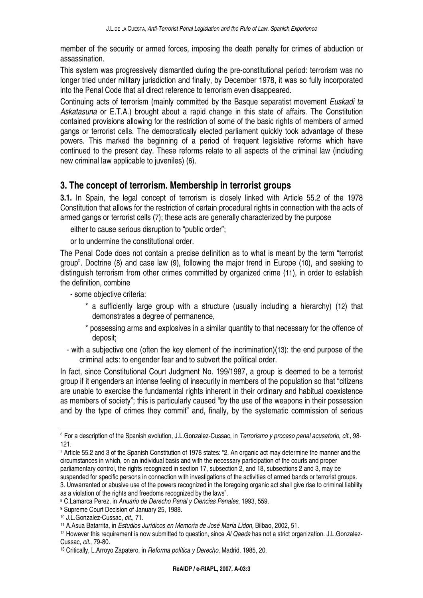member of the security or armed forces, imposing the death penalty for crimes of abduction or assassination.

This system was progressively dismantled during the pre-constitutional period: terrorism was no longer tried under military jurisdiction and finally, by December 1978, it was so fully incorporated into the Penal Code that all direct reference to terrorism even disappeared.

Continuing acts of terrorism (mainly committed by the Basque separatist movement Euskadi ta Askatasuna or E.T.A.) brought about a rapid change in this state of affairs. The Constitution contained provisions allowing for the restriction of some of the basic rights of members of armed gangs or terrorist cells. The democratically elected parliament quickly took advantage of these powers. This marked the beginning of a period of frequent legislative reforms which have continued to the present day. These reforms relate to all aspects of the criminal law (including new criminal law applicable to juveniles) (6).

# **3. The concept of terrorism. Membership in terrorist groups**

**3.1.** In Spain, the legal concept of terrorism is closely linked with Article 55.2 of the 1978 Constitution that allows for the restriction of certain procedural rights in connection with the acts of armed gangs or terrorist cells (7); these acts are generally characterized by the purpose

either to cause serious disruption to "public order";

or to undermine the constitutional order.

The Penal Code does not contain a precise definition as to what is meant by the term "terrorist group". Doctrine (8) and case law (9), following the major trend in Europe (10), and seeking to distinguish terrorism from other crimes committed by organized crime (11), in order to establish the definition, combine

- some objective criteria:

- \* a sufficiently large group with a structure (usually including a hierarchy) (12) that demonstrates a degree of permanence,
- \* possessing arms and explosives in a similar quantity to that necessary for the offence of deposit;

- with a subjective one (often the key element of the incrimination)(13): the end purpose of the criminal acts: to engender fear and to subvert the political order.

In fact, since Constitutional Court Judgment No. 199/1987, a group is deemed to be a terrorist group if it engenders an intense feeling of insecurity in members of the population so that "citizens are unable to exercise the fundamental rights inherent in their ordinary and habitual coexistence as members of society"; this is particularly caused "by the use of the weapons in their possession and by the type of crimes they commit" and, finally, by the systematic commission of serious

<sup>&</sup>lt;sup>6</sup> For a description of the Spanish evolution, J.L.Gonzalez-Cussac, in Terrorismo y proceso penal acusatorio, cit., 98-121.

<sup>7</sup> Article 55.2 and 3 of the Spanish Constitution of 1978 states: "2. An organic act may determine the manner and the circumstances in which, on an individual basis and with the necessary participation of the courts and proper parliamentary control, the rights recognized in section 17, subsection 2, and 18, subsections 2 and 3, may be suspended for specific persons in connection with investigations of the activities of armed bands or terrorist groups.

<sup>3.</sup> Unwarranted or abusive use of the powers recognized in the foregoing organic act shall give rise to criminal liability as a violation of the rights and freedoms recognized by the laws".

<sup>8</sup> C.Lamarca Perez, in Anuario de Derecho Penal y Ciencias Penales, 1993, 559.

<sup>9</sup> Supreme Court Decision of January 25, 1988.

<sup>10</sup> J.L.Gonzalez-Cussac, cit., 71.

<sup>11</sup> A.Asua Batarrita, in Estudios Jurídicos en Memoria de José María Lidon, Bilbao, 2002, 51.

 $12$  However this requirement is now submitted to question, since AI Qaeda has not a strict organization. J.L.Gonzalez-Cussac, cit., 79-80.

<sup>&</sup>lt;sup>13</sup> Critically, L.Arroyo Zapatero, in *Reforma política y Derecho*, Madrid, 1985, 20.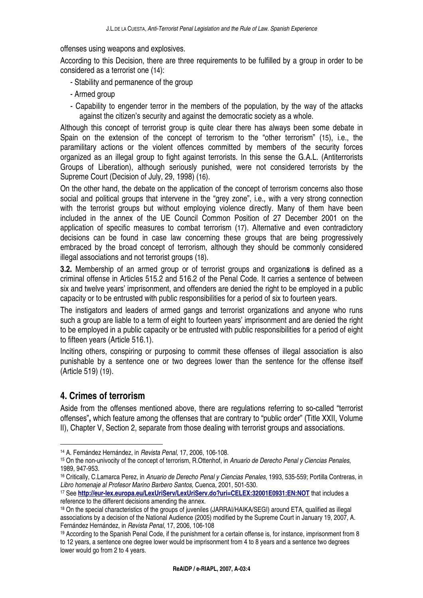offenses using weapons and explosives.

According to this Decision, there are three requirements to be fulfilled by a group in order to be considered as a terrorist one (14):

- Stability and permanence of the group
- Armed group
- Capability to engender terror in the members of the population, by the way of the attacks against the citizen's security and against the democratic society as a whole.

Although this concept of terrorist group is quite clear there has always been some debate in Spain on the extension of the concept of terrorism to the "other terrorism" (15), i.e., the paramilitary actions or the violent offences committed by members of the security forces organized as an illegal group to fight against terrorists. In this sense the G.A.L. (Antiterrorists Groups of Liberation), although seriously punished, were not considered terrorists by the Supreme Court (Decision of July, 29, 1998) (16).

On the other hand, the debate on the application of the concept of terrorism concerns also those social and political groups that intervene in the "grey zone", i.e., with a very strong connection with the terrorist groups but without employing violence directly. Many of them have been included in the annex of the UE Council Common Position of 27 December 2001 on the application of specific measures to combat terrorism (17). Alternative and even contradictory decisions can be found in case law concerning these groups that are being progressively embraced by the broad concept of terrorism, although they should be commonly considered illegal associations and not terrorist groups (18).

**3.2.** Membership of an armed group or of terrorist groups and organization**s** is defined as a criminal offense in Articles 515.2 and 516.2 of the Penal Code. It carries a sentence of between six and twelve years' imprisonment, and offenders are denied the right to be employed in a public capacity or to be entrusted with public responsibilities for a period of six to fourteen years.

The instigators and leaders of armed gangs and terrorist organizations and anyone who runs such a group are liable to a term of eight to fourteen years' imprisonment and are denied the right to be employed in a public capacity or be entrusted with public responsibilities for a period of eight to fifteen years (Article 516.1).

Inciting others, conspiring or purposing to commit these offenses of illegal association is also punishable by a sentence one or two degrees lower than the sentence for the offense itself (Article 519) (19).

# **4. Crimes of terrorism**

 $\overline{a}$ 

Aside from the offenses mentioned above, there are regulations referring to so-called "terrorist offenses"**,** which feature among the offenses that are contrary to "public order" (Title XXII, Volume II), Chapter V, Section 2, separate from those dealing with terrorist groups and associations.

<sup>14</sup> A. Fernández Hernández, in Revista Penal, 17, 2006, 106-108.

<sup>&</sup>lt;sup>15</sup> On the non-univocity of the concept of terrorism, R.Ottenhof, in Anuario de Derecho Penal y Ciencias Penales, 1989, 947-953.

<sup>16</sup> Critically, C.Lamarca Perez, in Anuario de Derecho Penal y Ciencias Penales, 1993, 535-559; Portilla Contreras, in Libro homenaje al Profesor Marino Barbero Santos, Cuenca, 2001, 501-530.

<sup>17</sup> See **http://eur-lex.europa.eu/LexUriServ/LexUriServ.do?uri=CELEX:32001E0931:EN:NOT** that includes a reference to the different decisions amending the annex.

<sup>&</sup>lt;sup>18</sup> On the special characteristics of the groups of juveniles (JARRAI/HAIKA/SEGI) around ETA, qualified as illegal associations by a decision of the National Audience (2005) modified by the Supreme Court in January 19, 2007, A. Fernández Hernández, in Revista Penal, 17, 2006, 106-108

<sup>&</sup>lt;sup>19</sup> According to the Spanish Penal Code, if the punishment for a certain offense is, for instance, imprisonment from 8 to 12 years, a sentence one degree lower would be imprisonment from 4 to 8 years and a sentence two degrees lower would go from 2 to 4 years.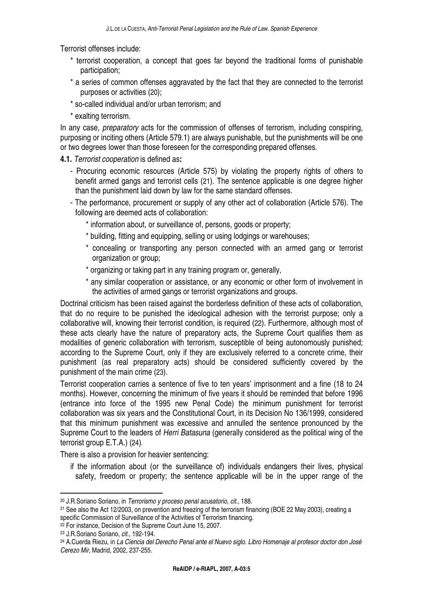Terrorist offenses include:

- \* terrorist cooperation, a concept that goes far beyond the traditional forms of punishable participation;
- \* a series of common offenses aggravated by the fact that they are connected to the terrorist purposes or activities (20);
- \* so-called individual and/or urban terrorism; and
- \* exalting terrorism.

In any case, *preparatory* acts for the commission of offenses of terrorism, including conspiring, purposing or inciting others (Article 579.1) are always punishable, but the punishments will be one or two degrees lower than those foreseen for the corresponding prepared offenses.

- **4.1.** Terrorist cooperation is defined as**:** 
	- Procuring economic resources (Article 575) by violating the property rights of others to benefit armed gangs and terrorist cells (21). The sentence applicable is one degree higher than the punishment laid down by law for the same standard offenses.
	- The performance, procurement or supply of any other act of collaboration (Article 576). The following are deemed acts of collaboration:
		- \* information about, or surveillance of, persons, goods or property;
		- \* building, fitting and equipping, selling or using lodgings or warehouses;
		- \* concealing or transporting any person connected with an armed gang or terrorist organization or group;
		- \* organizing or taking part in any training program or, generally,
		- \* any similar cooperation or assistance, or any economic or other form of involvement in the activities of armed gangs or terrorist organizations and groups.

Doctrinal criticism has been raised against the borderless definition of these acts of collaboration, that do no require to be punished the ideological adhesion with the terrorist purpose; only a collaborative will, knowing their terrorist condition, is required (22). Furthermore, although most of these acts clearly have the nature of preparatory acts, the Supreme Court qualifies them as modalities of generic collaboration with terrorism, susceptible of being autonomously punished; according to the Supreme Court, only if they are exclusively referred to a concrete crime, their punishment (as real preparatory acts) should be considered sufficiently covered by the punishment of the main crime (23).

Terrorist cooperation carries a sentence of five to ten years' imprisonment and a fine (18 to 24 months). However, concerning the minimum of five years it should be reminded that before 1996 (entrance into force of the 1995 new Penal Code) the minimum punishment for terrorist collaboration was six years and the Constitutional Court, in its Decision No 136/1999, considered that this minimum punishment was excessive and annulled the sentence pronounced by the Supreme Court to the leaders of Herri Batasuna (generally considered as the political wing of the terrorist group E.T.A.) (24).

There is also a provision for heavier sentencing:

if the information about (or the surveillance of) individuals endangers their lives, physical safety, freedom or property; the sentence applicable will be in the upper range of the

<sup>20</sup> J.R.Soriano Soriano, in Terrorismo y proceso penal acusatorio, cit., 188.

<sup>21</sup> See also the Act 12/2003, on prevention and freezing of the terrorism financing (BOE 22 May 2003), creating a specific Commission of Surveillance of the Activities of Terrorism financing.

<sup>&</sup>lt;sup>22</sup> For instance, Decision of the Supreme Court June 15, 2007.

<sup>23</sup> J.R.Soriano Soriano, cit., 192-194.

<sup>24</sup> A.Cuerda Riezu, in La Ciencia del Derecho Penal ante el Nuevo siglo. Libro Homenaje al profesor doctor don José Cerezo Mir, Madrid, 2002, 237-255.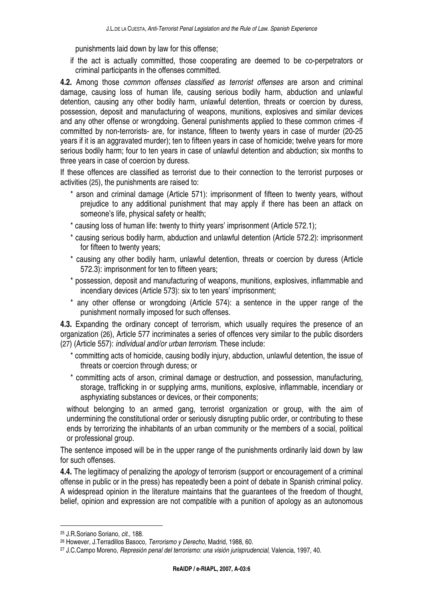punishments laid down by law for this offense;

if the act is actually committed, those cooperating are deemed to be co-perpetrators or criminal participants in the offenses committed.

**4.2.** Among those common offenses classified as terrorist offenses are arson and criminal damage, causing loss of human life, causing serious bodily harm, abduction and unlawful detention, causing any other bodily harm, unlawful detention, threats or coercion by duress, possession, deposit and manufacturing of weapons, munitions, explosives and similar devices and any other offense or wrongdoing. General punishments applied to these common crimes -if committed by non-terrorists- are, for instance, fifteen to twenty years in case of murder (20-25 years if it is an aggravated murder); ten to fifteen years in case of homicide; twelve years for more serious bodily harm; four to ten years in case of unlawful detention and abduction; six months to three years in case of coercion by duress.

If these offences are classified as terrorist due to their connection to the terrorist purposes or activities (25), the punishments are raised to:

- \* arson and criminal damage (Article 571): imprisonment of fifteen to twenty years, without prejudice to any additional punishment that may apply if there has been an attack on someone's life, physical safety or health;
- \* causing loss of human life: twenty to thirty years' imprisonment (Article 572.1);
- \* causing serious bodily harm, abduction and unlawful detention (Article 572.2): imprisonment for fifteen to twenty years;
- \* causing any other bodily harm, unlawful detention, threats or coercion by duress (Article 572.3): imprisonment for ten to fifteen years;
- \* possession, deposit and manufacturing of weapons, munitions, explosives, inflammable and incendiary devices (Article 573): six to ten years' imprisonment;
- \* any other offense or wrongdoing (Article 574): a sentence in the upper range of the punishment normally imposed for such offenses.

**4.3.** Expanding the ordinary concept of terrorism, which usually requires the presence of an organization (26), Article 577 incriminates a series of offences very similar to the public disorders (27) (Article 557): individual and/or urban terrorism. These include:

- \* committing acts of homicide, causing bodily injury, abduction, unlawful detention, the issue of threats or coercion through duress; or
- \* committing acts of arson, criminal damage or destruction, and possession, manufacturing, storage, trafficking in or supplying arms, munitions, explosive, inflammable, incendiary or asphyxiating substances or devices, or their components;

without belonging to an armed gang, terrorist organization or group, with the aim of undermining the constitutional order or seriously disrupting public order, or contributing to these ends by terrorizing the inhabitants of an urban community or the members of a social, political or professional group.

The sentence imposed will be in the upper range of the punishments ordinarily laid down by law for such offenses.

**4.4.** The legitimacy of penalizing the apology of terrorism (support or encouragement of a criminal offense in public or in the press) has repeatedly been a point of debate in Spanish criminal policy. A widespread opinion in the literature maintains that the guarantees of the freedom of thought, belief, opinion and expression are not compatible with a punition of apology as an autonomous

<sup>25</sup> J.R.Soriano Soriano, cit., 188.

<sup>26</sup> However, J.Terradillos Basoco, Terrorismo y Derecho, Madrid, 1988, 60.

<sup>27</sup> J.C.Campo Moreno, Represión penal del terrorismo: una visión jurisprudencial, Valencia, 1997, 40.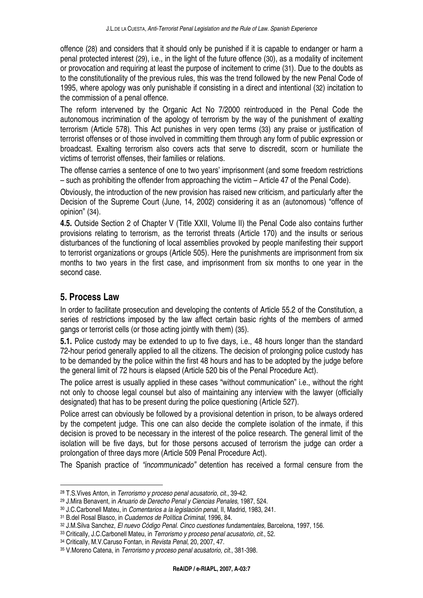offence (28) and considers that it should only be punished if it is capable to endanger or harm a penal protected interest (29), i.e., in the light of the future offence (30), as a modality of incitement or provocation and requiring at least the purpose of incitement to crime (31). Due to the doubts as to the constitutionality of the previous rules, this was the trend followed by the new Penal Code of 1995, where apology was only punishable if consisting in a direct and intentional (32) incitation to the commission of a penal offence.

The reform intervened by the Organic Act No 7/2000 reintroduced in the Penal Code the autonomous incrimination of the apology of terrorism by the way of the punishment of exalting terrorism (Article 578). This Act punishes in very open terms (33) any praise or justification of terrorist offenses or of those involved in committing them through any form of public expression or broadcast. Exalting terrorism also covers acts that serve to discredit, scorn or humiliate the victims of terrorist offenses, their families or relations.

The offense carries a sentence of one to two years' imprisonment (and some freedom restrictions – such as prohibiting the offender from approaching the victim – Article 47 of the Penal Code).

Obviously, the introduction of the new provision has raised new criticism, and particularly after the Decision of the Supreme Court (June, 14, 2002) considering it as an (autonomous) "offence of opinion" (34).

**4.5.** Outside Section 2 of Chapter V (Title XXII, Volume II) the Penal Code also contains further provisions relating to terrorism, as the terrorist threats (Article 170) and the insults or serious disturbances of the functioning of local assemblies provoked by people manifesting their support to terrorist organizations or groups (Article 505). Here the punishments are imprisonment from six months to two years in the first case, and imprisonment from six months to one year in the second case.

### **5. Process Law**

 $\overline{a}$ 

In order to facilitate prosecution and developing the contents of Article 55.2 of the Constitution, a series of restrictions imposed by the law affect certain basic rights of the members of armed gangs or terrorist cells (or those acting jointly with them) (35).

**5.1.** Police custody may be extended to up to five days, i.e., 48 hours longer than the standard 72-hour period generally applied to all the citizens. The decision of prolonging police custody has to be demanded by the police within the first 48 hours and has to be adopted by the judge before the general limit of 72 hours is elapsed (Article 520 bis of the Penal Procedure Act).

The police arrest is usually applied in these cases "without communication" i.e., without the right not only to choose legal counsel but also of maintaining any interview with the lawyer (officially designated) that has to be present during the police questioning (Article 527).

Police arrest can obviously be followed by a provisional detention in prison, to be always ordered by the competent judge. This one can also decide the complete isolation of the inmate, if this decision is proved to be necessary in the interest of the police research. The general limit of the isolation will be five days, but for those persons accused of terrorism the judge can order a prolongation of three days more (Article 509 Penal Procedure Act).

The Spanish practice of "incommunicado" detention has received a formal censure from the

<sup>28</sup> T.S.Vives Anton, in Terrorismo y proceso penal acusatorio, cit., 39-42.

<sup>29</sup> J.Mira Benavent, in Anuario de Derecho Penal y Ciencias Penales, 1987, 524.

<sup>30</sup> J.C.Carbonell Mateu, in Comentarios a la legislación penal, II, Madrid, 1983, 241.

<sup>31</sup> B.del Rosal Blasco, in Cuadernos de Política Criminal, 1996, 84.

<sup>32</sup> J.M.Silva Sanchez, El nuevo Código Penal. Cinco cuestiones fundamentales, Barcelona, 1997, 156.

<sup>33</sup> Critically, J.C.Carbonell Mateu, in Terrorismo y proceso penal acusatorio, cit., 52.

<sup>34</sup> Critically, M.V.Caruso Fontan, in Revista Penal, 20, 2007, 47.

<sup>35</sup> V.Moreno Catena, in Terrorismo y proceso penal acusatorio, cit., 381-398.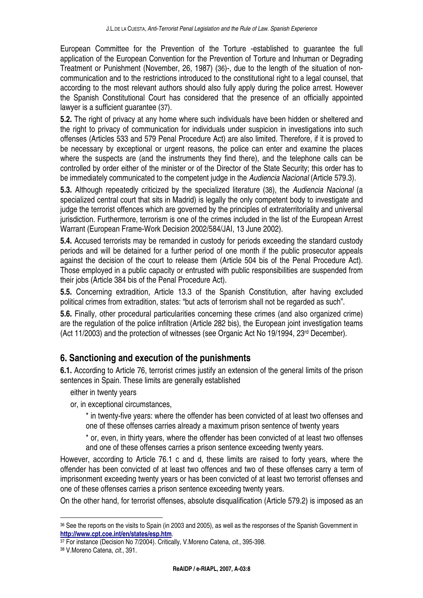European Committee for the Prevention of the Torture -established to guarantee the full application of the European Convention for the Prevention of Torture and Inhuman or Degrading Treatment or Punishment (November, 26, 1987) (36)-, due to the length of the situation of noncommunication and to the restrictions introduced to the constitutional right to a legal counsel, that according to the most relevant authors should also fully apply during the police arrest. However the Spanish Constitutional Court has considered that the presence of an officially appointed lawyer is a sufficient guarantee (37).

**5.2.** The right of privacy at any home where such individuals have been hidden or sheltered and the right to privacy of communication for individuals under suspicion in investigations into such offenses (Articles 533 and 579 Penal Procedure Act) are also limited. Therefore, if it is proved to be necessary by exceptional or urgent reasons, the police can enter and examine the places where the suspects are (and the instruments they find there), and the telephone calls can be controlled by order either of the minister or of the Director of the State Security; this order has to be immediately communicated to the competent judge in the Audiencia Nacional (Article 579.3).

**5.3.** Although repeatedly criticized by the specialized literature (38), the Audiencia Nacional (a specialized central court that sits in Madrid) is legally the only competent body to investigate and judge the terrorist offences which are governed by the principles of extraterritoriality and universal jurisdiction. Furthermore, terrorism is one of the crimes included in the list of the European Arrest Warrant (European Frame-Work Decision 2002/584/JAI, 13 June 2002).

**5.4.** Accused terrorists may be remanded in custody for periods exceeding the standard custody periods and will be detained for a further period of one month if the public prosecutor appeals against the decision of the court to release them (Article 504 bis of the Penal Procedure Act). Those employed in a public capacity or entrusted with public responsibilities are suspended from their jobs (Article 384 bis of the Penal Procedure Act).

**5.5.** Concerning extradition, Article 13.3 of the Spanish Constitution, after having excluded political crimes from extradition, states: "but acts of terrorism shall not be regarded as such".

**5.6.** Finally, other procedural particularities concerning these crimes (and also organized crime) are the regulation of the police infiltration (Article 282 bis), the European joint investigation teams (Act 11/2003) and the protection of witnesses (see Organic Act No 19/1994, 23rd December).

# **6. Sanctioning and execution of the punishments**

**6.1.** According to Article 76, terrorist crimes justify an extension of the general limits of the prison sentences in Spain. These limits are generally established

either in twenty years

or, in exceptional circumstances,

\* in twenty-five years: where the offender has been convicted of at least two offenses and one of these offenses carries already a maximum prison sentence of twenty years

\* or, even, in thirty years, where the offender has been convicted of at least two offenses and one of these offenses carries a prison sentence exceeding twenty years.

However, according to Article 76.1 c and d, these limits are raised to forty years, where the offender has been convicted of at least two offences and two of these offenses carry a term of imprisonment exceeding twenty years or has been convicted of at least two terrorist offenses and one of these offenses carries a prison sentence exceeding twenty years.

On the other hand, for terrorist offenses, absolute disqualification (Article 579.2) is imposed as an

<sup>36</sup> See the reports on the visits to Spain (in 2003 and 2005), as well as the responses of the Spanish Government in **http://www.cpt.coe.int/en/states/esp.htm**.

<sup>&</sup>lt;sup>37</sup> For instance (Decision No 7/2004). Critically, V.Moreno Catena, cit., 395-398.

<sup>38</sup> V.Moreno Catena, cit., 391.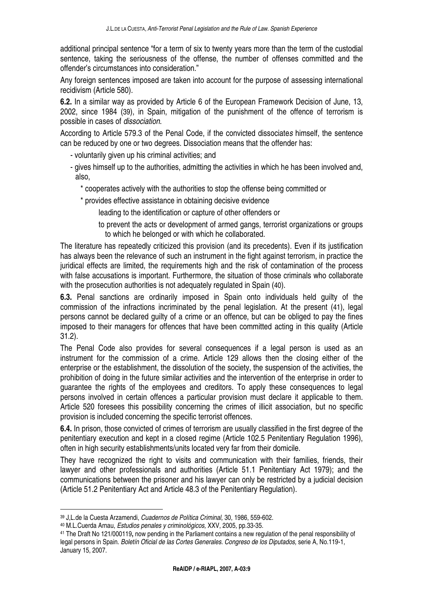additional principal sentence "for a term of six to twenty years more than the term of the custodial sentence, taking the seriousness of the offense, the number of offenses committed and the offender's circumstances into consideration."

Any foreign sentences imposed are taken into account for the purpose of assessing international recidivism (Article 580).

**6.2.** In a similar way as provided by Article 6 of the European Framework Decision of June, 13, 2002, since 1984 (39), in Spain, mitigation of the punishment of the offence of terrorism is possible in cases of dissociation.

According to Article 579.3 of the Penal Code, if the convicted dissociates himself, the sentence can be reduced by one or two degrees. Dissociation means that the offender has:

- voluntarily given up his criminal activities; and
- gives himself up to the authorities, admitting the activities in which he has been involved and, also,
	- \* cooperates actively with the authorities to stop the offense being committed or
	- \* provides effective assistance in obtaining decisive evidence

leading to the identification or capture of other offenders or

to prevent the acts or development of armed gangs, terrorist organizations or groups to which he belonged or with which he collaborated.

The literature has repeatedly criticized this provision (and its precedents). Even if its justification has always been the relevance of such an instrument in the fight against terrorism, in practice the juridical effects are limited, the requirements high and the risk of contamination of the process with false accusations is important. Furthermore, the situation of those criminals who collaborate with the prosecution authorities is not adequately regulated in Spain (40).

**6.3.** Penal sanctions are ordinarily imposed in Spain onto individuals held guilty of the commission of the infractions incriminated by the penal legislation. At the present (41), legal persons cannot be declared guilty of a crime or an offence, but can be obliged to pay the fines imposed to their managers for offences that have been committed acting in this quality (Article 31.2).

The Penal Code also provides for several consequences if a legal person is used as an instrument for the commission of a crime. Article 129 allows then the closing either of the enterprise or the establishment, the dissolution of the society, the suspension of the activities, the prohibition of doing in the future similar activities and the intervention of the enterprise in order to guarantee the rights of the employees and creditors. To apply these consequences to legal persons involved in certain offences a particular provision must declare it applicable to them. Article 520 foresees this possibility concerning the crimes of illicit association, but no specific provision is included concerning the specific terrorist offences.

**6.4.** In prison, those convicted of crimes of terrorism are usually classified in the first degree of the penitentiary execution and kept in a closed regime (Article 102.5 Penitentiary Regulation 1996), often in high security establishments/units located very far from their domicile.

They have recognized the right to visits and communication with their families, friends, their lawyer and other professionals and authorities (Article 51.1 Penitentiary Act 1979); and the communications between the prisoner and his lawyer can only be restricted by a judicial decision (Article 51.2 Penitentiary Act and Article 48.3 of the Penitentiary Regulation).

<sup>39</sup> J,L.de la Cuesta Arzamendi, Cuadernos de Política Criminal, 30, 1986, 559-602.

<sup>40</sup> M.L.Cuerda Arnau, Estudios penales y criminológicos, XXV, 2005, pp.33-35.

<sup>41</sup> The Draft No 121/000119**,** now pending in the Parliament contains a new regulation of the penal responsibility of legal persons in Spain. Boletín Oficial de las Cortes Generales. Congreso de los Diputados, serie A, No.119-1, January 15, 2007.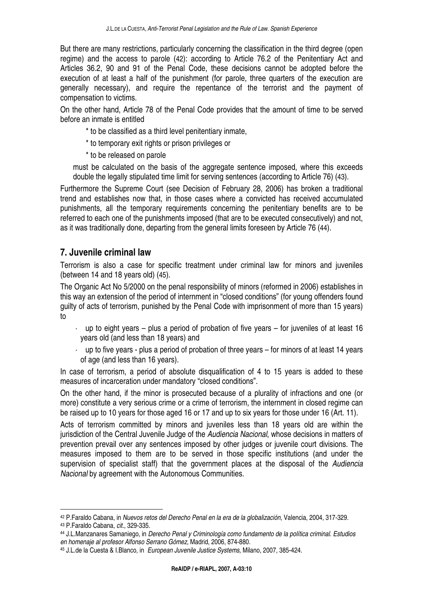But there are many restrictions, particularly concerning the classification in the third degree (open regime) and the access to parole (42): according to Article 76.2 of the Penitentiary Act and Articles 36.2, 90 and 91 of the Penal Code, these decisions cannot be adopted before the execution of at least a half of the punishment (for parole, three quarters of the execution are generally necessary), and require the repentance of the terrorist and the payment of compensation to victims.

On the other hand, Article 78 of the Penal Code provides that the amount of time to be served before an inmate is entitled

- \* to be classified as a third level penitentiary inmate,
- \* to temporary exit rights or prison privileges or
- \* to be released on parole

must be calculated on the basis of the aggregate sentence imposed, where this exceeds double the legally stipulated time limit for serving sentences (according to Article 76) (43).

Furthermore the Supreme Court (see Decision of February 28, 2006) has broken a traditional trend and establishes now that, in those cases where a convicted has received accumulated punishments, all the temporary requirements concerning the penitentiary benefits are to be referred to each one of the punishments imposed (that are to be executed consecutively) and not, as it was traditionally done, departing from the general limits foreseen by Article 76 (44).

#### **7. Juvenile criminal law**

Terrorism is also a case for specific treatment under criminal law for minors and juveniles (between 14 and 18 years old) (45).

The Organic Act No 5/2000 on the penal responsibility of minors (reformed in 2006) establishes in this way an extension of the period of internment in "closed conditions" (for young offenders found guilty of acts of terrorism, punished by the Penal Code with imprisonment of more than 15 years) to

- $\cdot$  up to eight years plus a period of probation of five years for juveniles of at least 16 years old (and less than 18 years) and
- up to five years plus a period of probation of three years for minors of at least 14 years of age (and less than 16 years).

In case of terrorism, a period of absolute disqualification of 4 to 15 years is added to these measures of incarceration under mandatory "closed conditions".

On the other hand, if the minor is prosecuted because of a plurality of infractions and one (or more) constitute a very serious crime or a crime of terrorism, the internment in closed regime can be raised up to 10 years for those aged 16 or 17 and up to six years for those under 16 (Art. 11).

Acts of terrorism committed by minors and juveniles less than 18 years old are within the jurisdiction of the Central Juvenile Judge of the Audiencia Nacional, whose decisions in matters of prevention prevail over any sentences imposed by other judges or juvenile court divisions. The measures imposed to them are to be served in those specific institutions (and under the supervision of specialist staff) that the government places at the disposal of the Audiencia Nacional by agreement with the Autonomous Communities.

<sup>42</sup> P.Faraldo Cabana, in Nuevos retos del Derecho Penal en la era de la globalización, Valencia, 2004, 317-329.

<sup>43</sup> P.Faraldo Cabana, cit., 329-335.

<sup>44</sup> J.L.Manzanares Samaniego, in Derecho Penal y Criminología como fundamento de la política criminal. Estudios en homenaje al profesor Alfonso Serrano Gómez, Madrid, 2006, 874-880.

<sup>45</sup> J.L.de la Cuesta & I.Blanco, in European Juvenile Justice Systems, Milano, 2007, 385-424.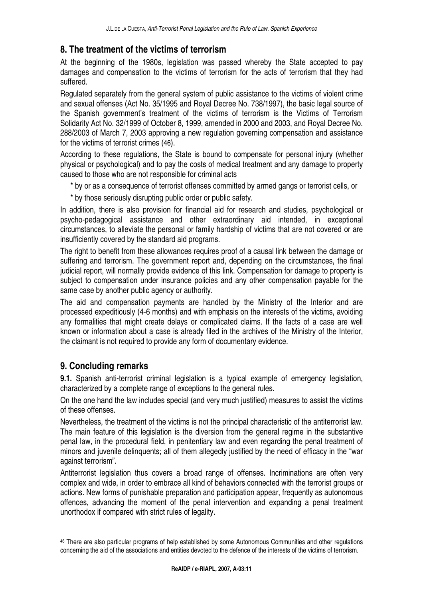### **8. The treatment of the victims of terrorism**

At the beginning of the 1980s, legislation was passed whereby the State accepted to pay damages and compensation to the victims of terrorism for the acts of terrorism that they had suffered.

Regulated separately from the general system of public assistance to the victims of violent crime and sexual offenses (Act No. 35/1995 and Royal Decree No. 738/1997), the basic legal source of the Spanish government's treatment of the victims of terrorism is the Victims of Terrorism Solidarity Act No. 32/1999 of October 8, 1999, amended in 2000 and 2003, and Royal Decree No. 288/2003 of March 7, 2003 approving a new regulation governing compensation and assistance for the victims of terrorist crimes (46).

According to these regulations, the State is bound to compensate for personal injury (whether physical or psychological) and to pay the costs of medical treatment and any damage to property caused to those who are not responsible for criminal acts

\* by or as a consequence of terrorist offenses committed by armed gangs or terrorist cells, or

\* by those seriously disrupting public order or public safety.

In addition, there is also provision for financial aid for research and studies, psychological or psycho-pedagogical assistance and other extraordinary aid intended, in exceptional circumstances, to alleviate the personal or family hardship of victims that are not covered or are insufficiently covered by the standard aid programs.

The right to benefit from these allowances requires proof of a causal link between the damage or suffering and terrorism. The government report and, depending on the circumstances, the final judicial report, will normally provide evidence of this link. Compensation for damage to property is subject to compensation under insurance policies and any other compensation payable for the same case by another public agency or authority.

The aid and compensation payments are handled by the Ministry of the Interior and are processed expeditiously (4-6 months) and with emphasis on the interests of the victims, avoiding any formalities that might create delays or complicated claims. If the facts of a case are well known or information about a case is already filed in the archives of the Ministry of the Interior, the claimant is not required to provide any form of documentary evidence.

# **9. Concluding remarks**

l.

**9.1.** Spanish anti-terrorist criminal legislation is a typical example of emergency legislation, characterized by a complete range of exceptions to the general rules.

On the one hand the law includes special (and very much justified) measures to assist the victims of these offenses.

Nevertheless, the treatment of the victims is not the principal characteristic of the antiterrorist law. The main feature of this legislation is the diversion from the general regime in the substantive penal law, in the procedural field, in penitentiary law and even regarding the penal treatment of minors and juvenile delinquents; all of them allegedly justified by the need of efficacy in the "war against terrorism".

Antiterrorist legislation thus covers a broad range of offenses. Incriminations are often very complex and wide, in order to embrace all kind of behaviors connected with the terrorist groups or actions. New forms of punishable preparation and participation appear, frequently as autonomous offences, advancing the moment of the penal intervention and expanding a penal treatment unorthodox if compared with strict rules of legality.

<sup>46</sup> There are also particular programs of help established by some Autonomous Communities and other regulations concerning the aid of the associations and entities devoted to the defence of the interests of the victims of terrorism.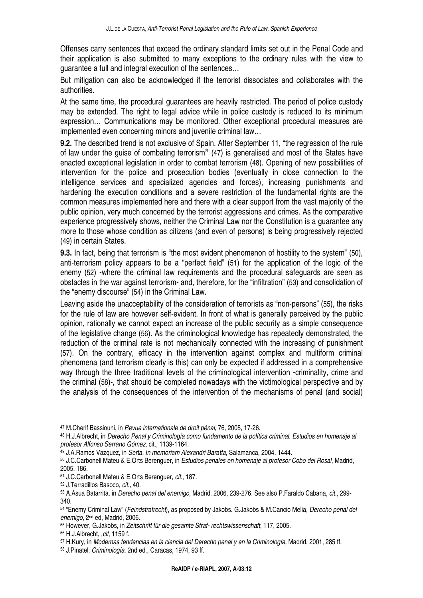Offenses carry sentences that exceed the ordinary standard limits set out in the Penal Code and their application is also submitted to many exceptions to the ordinary rules with the view to guarantee a full and integral execution of the sentences…

But mitigation can also be acknowledged if the terrorist dissociates and collaborates with the authorities.

At the same time, the procedural guarantees are heavily restricted. The period of police custody may be extended. The right to legal advice while in police custody is reduced to its minimum expression… Communications may be monitored. Other exceptional procedural measures are implemented even concerning minors and juvenile criminal law…

**9.2.** The described trend is not exclusive of Spain. After September 11, "the regression of the rule of law under the guise of combating terrorism**"** (47) is generalised and most of the States have enacted exceptional legislation in order to combat terrorism (48). Opening of new possibilities of intervention for the police and prosecution bodies (eventually in close connection to the intelligence services and specialized agencies and forces), increasing punishments and hardening the execution conditions and a severe restriction of the fundamental rights are the common measures implemented here and there with a clear support from the vast majority of the public opinion, very much concerned by the terrorist aggressions and crimes. As the comparative experience progressively shows, neither the Criminal Law nor the Constitution is a guarantee any more to those whose condition as citizens (and even of persons) is being progressively rejected (49) in certain States.

**9.3.** In fact, being that terrorism is "the most evident phenomenon of hostility to the system" (50), anti-terrorism policy appears to be a "perfect field" (51) for the application of the logic of the enemy (52) -where the criminal law requirements and the procedural safeguards are seen as obstacles in the war against terrorism- and, therefore, for the "infiltration" (53) and consolidation of the "enemy discourse" (54) in the Criminal Law.

Leaving aside the unacceptability of the consideration of terrorists as "non-persons" (55), the risks for the rule of law are however self-evident. In front of what is generally perceived by the public opinion, rationally we cannot expect an increase of the public security as a simple consequence of the legislative change (56). As the criminological knowledge has repeatedly demonstrated, the reduction of the criminal rate is not mechanically connected with the increasing of punishment (57). On the contrary, efficacy in the intervention against complex and multiform criminal phenomena (and terrorism clearly is this) can only be expected if addressed in a comprehensive way through the three traditional levels of the criminological intervention -criminality, crime and the criminal (58)-, that should be completed nowadays with the victimological perspective and by the analysis of the consequences of the intervention of the mechanisms of penal (and social)

<sup>47</sup> M.Cherif Bassiouni, in Revue internationale de droit pénal, 76, 2005, 17-26.

<sup>48</sup> H.J.Albrecht, in Derecho Penal y Criminología como fundamento de la política criminal. Estudios en homenaje al profesor Alfonso Serrano Gómez, cit., 1139-1164.

<sup>49</sup> J.A.Ramos Vazquez, in Serta. In memoriam Alexandri Baratta, Salamanca, 2004, 1444.

<sup>50</sup> J.C.Carbonell Mateu & E.Orts Berenguer, in Estudios penales en homenaje al profesor Cobo del Rosal, Madrid, 2005, 186.

<sup>51</sup> J.C.Carbonell Mateu & E.Orts Berenguer, cit., 187.

<sup>52</sup> J.Terradillos Basoco, cit., 40.

<sup>53</sup> A.Asua Batarrita, in Derecho penal del enemigo, Madrid, 2006, 239-276. See also P.Faraldo Cabana, cit., 299- 340.

<sup>54 &</sup>quot;Enemy Criminal Law" (Feindstrafrecht), as proposed by Jakobs, G.Jakobs & M.Cancio Melia, Derecho penal del enemigo, 2nd ed, Madrid, 2006.

<sup>55</sup> However, G.Jakobs, in Zeitschrift für die gesamte Straf- rechtswissenschaft, 117, 2005.

<sup>56</sup> H.J.Albrecht, ,cit, 1159 f.

<sup>57</sup> H.Kury, in Modernas tendencias en la ciencia del Derecho penal y en la Criminología, Madrid, 2001, 285 ff.

<sup>58</sup> J.Pinatel, Criminología, 2nd ed., Caracas, 1974, 93 ff.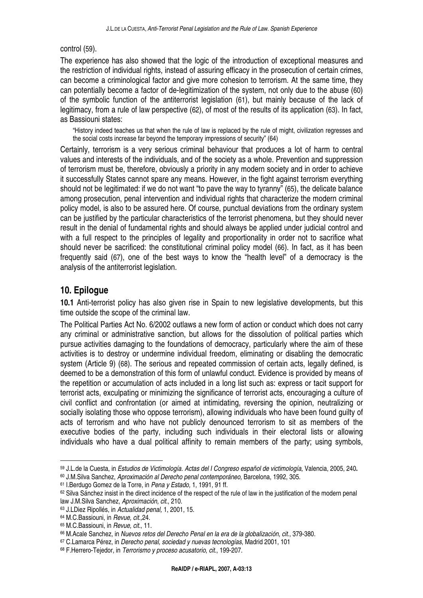#### control (59).

The experience has also showed that the logic of the introduction of exceptional measures and the restriction of individual rights, instead of assuring efficacy in the prosecution of certain crimes, can become a criminological factor and give more cohesion to terrorism. At the same time, they can potentially become a factor of de-legitimization of the system, not only due to the abuse (60) of the symbolic function of the antiterrorist legislation (61), but mainly because of the lack of legitimacy, from a rule of law perspective (62), of most of the results of its application (63). In fact, as Bassiouni states:

"History indeed teaches us that when the rule of law is replaced by the rule of might, civilization regresses and the social costs increase far beyond the temporary impressions of security" (64)

Certainly, terrorism is a very serious criminal behaviour that produces a lot of harm to central values and interests of the individuals, and of the society as a whole. Prevention and suppression of terrorism must be, therefore, obviously a priority in any modern society and in order to achieve it successfully States cannot spare any means. However, in the fight against terrorism everything should not be legitimated: if we do not want "to pave the way to tyranny" (65), the delicate balance among prosecution, penal intervention and individual rights that characterize the modern criminal policy model, is also to be assured here. Of course, punctual deviations from the ordinary system can be justified by the particular characteristics of the terrorist phenomena, but they should never result in the denial of fundamental rights and should always be applied under judicial control and with a full respect to the principles of legality and proportionality in order not to sacrifice what should never be sacrificed: the constitutional criminal policy model (66). In fact, as it has been frequently said (67), one of the best ways to know the "health level" of a democracy is the analysis of the antiterrorist legislation.

#### **10. Epilogue**

**10.1** Anti-terrorist policy has also given rise in Spain to new legislative developments, but this time outside the scope of the criminal law.

The Political Parties Act No. 6/2002 outlaws a new form of action or conduct which does not carry any criminal or administrative sanction, but allows for the dissolution of political parties which pursue activities damaging to the foundations of democracy, particularly where the aim of these activities is to destroy or undermine individual freedom, eliminating or disabling the democratic system (Article 9) (68). The serious and repeated commission of certain acts, legally defined, is deemed to be a demonstration of this form of unlawful conduct. Evidence is provided by means of the repetition or accumulation of acts included in a long list such as: express or tacit support for terrorist acts, exculpating or minimizing the significance of terrorist acts, encouraging a culture of civil conflict and confrontation (or aimed at intimidating, reversing the opinion, neutralizing or socially isolating those who oppose terrorism), allowing individuals who have been found guilty of acts of terrorism and who have not publicly denounced terrorism to sit as members of the executive bodies of the party, including such individuals in their electoral lists or allowing individuals who have a dual political affinity to remain members of the party; using symbols,

<sup>59</sup> J.L.de la Cuesta, in Estudios de Victimología. Actas del I Congreso español de victimología, Valencia, 2005, 240**.**

<sup>60</sup> J.M.Silva Sanchez, Aproximación al Derecho penal contemporáneo, Barcelona, 1992, 305.

<sup>61</sup> I.Berdugo Gomez de la Torre, in Pena y Estado, 1, 1991, 91 ff.

<sup>62</sup> Silva Sánchez insist in the direct incidence of the respect of the rule of law in the justification of the modern penal law J.M.Silva Sanchez, Aproximación, cit., 210.

<sup>63</sup> J.LDiez Ripollés, in Actualidad penal, 1, 2001, 15.

<sup>64</sup> M.C.Bassiouni, in Revue, cit.,24.

<sup>65</sup> M.C.Bassiouni, in Revue, cit., 11.

<sup>66</sup> M.Acale Sanchez, in Nuevos retos del Derecho Penal en la era de la globalización, cit., 379-380.

<sup>67</sup> C.Lamarca Pérez, in Derecho penal, sociedad y nuevas tecnologías, Madrid 2001, 101

<sup>68</sup> F.Herrero-Tejedor, in Terrorismo y proceso acusatorio, cit., 199-207.